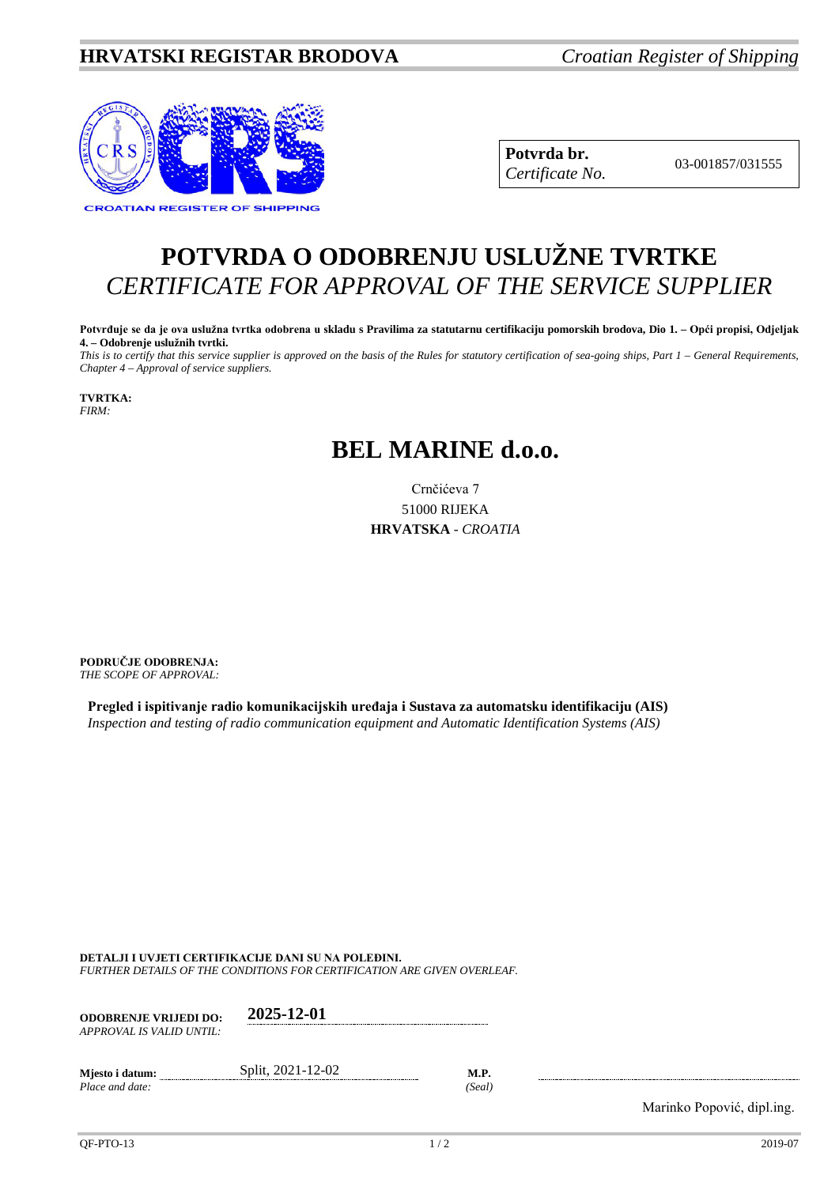## **HRVATSKI REGISTAR BRODOVA** *Croatian Register of Shipping*



**Potvrda br.** 03-001857/031555 *Certificate No.*

## **POTVRDA O ODOBRENJU USLUŽNE TVRTKE** *CERTIFICATE FOR APPROVAL OF THE SERVICE SUPPLIER*

**Potvrđuje se da je ova uslužna tvrtka odobrena u skladu s Pravilima za statutarnu certifikaciju pomorskih brodova, Dio 1. – Opći propisi, Odjeljak 4. – Odobrenje uslužnih tvrtki.**

*This is to certify that this service supplier is approved on the basis of the Rules for statutory certification of sea-going ships, Part 1 – General Requirements, Chapter 4 – Approval of service suppliers.*

**TVRTKA:** *FIRM:*

## **BEL MARINE d.o.o.**

Crnčićeva 7 51000 RIJEKA **HRVATSKA** - *CROATIA*

**PODRUČJE ODOBRENJA:** *THE SCOPE OF APPROVAL:*

**Pregled i ispitivanje radio komunikacijskih uređaja i Sustava za automatsku identifikaciju (AIS)** *Inspection and testing of radio communication equipment and Automatic Identification Systems (AIS)*

**DETALJI I UVJETI CERTIFIKACIJE DANI SU NA POLEĐINI.**

*FURTHER DETAILS OF THE CONDITIONS FOR CERTIFICATION ARE GIVEN OVERLEAF.*

| <b>ODOBRENJE VRLJEDI DO:</b><br>APPROVAL IS VALID UNTIL: | 2025-12-01        |                       |
|----------------------------------------------------------|-------------------|-----------------------|
| Mjesto i datum:<br>Place and date:                       | Split, 2021-12-02 | <b>M.P.</b><br>(Seal) |

Marinko Popović, dipl.ing.